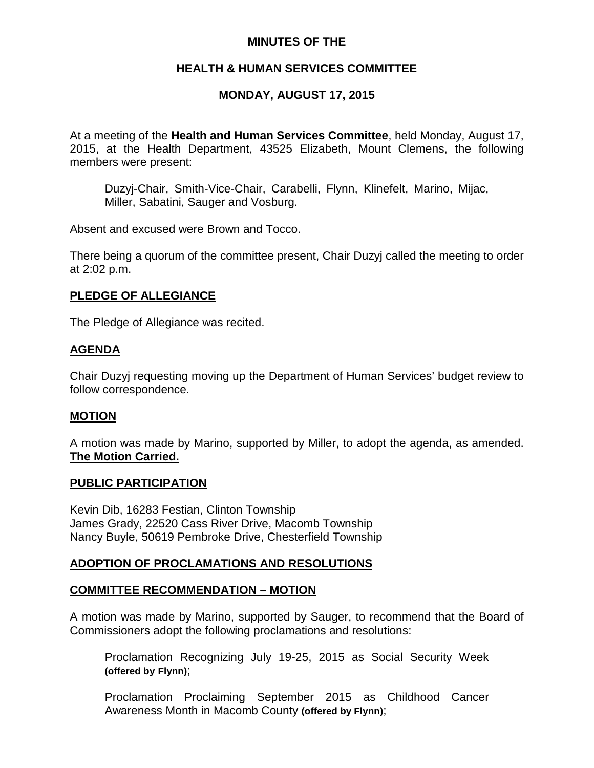## **MINUTES OF THE**

# **HEALTH & HUMAN SERVICES COMMITTEE**

# **MONDAY, AUGUST 17, 2015**

At a meeting of the **Health and Human Services Committee**, held Monday, August 17, 2015, at the Health Department, 43525 Elizabeth, Mount Clemens, the following members were present:

Duzyj-Chair, Smith-Vice-Chair, Carabelli, Flynn, Klinefelt, Marino, Mijac, Miller, Sabatini, Sauger and Vosburg.

Absent and excused were Brown and Tocco.

There being a quorum of the committee present, Chair Duzyj called the meeting to order at 2:02 p.m.

# **PLEDGE OF ALLEGIANCE**

The Pledge of Allegiance was recited.

# **AGENDA**

Chair Duzyj requesting moving up the Department of Human Services' budget review to follow correspondence.

### **MOTION**

A motion was made by Marino, supported by Miller, to adopt the agenda, as amended. **The Motion Carried.**

#### **PUBLIC PARTICIPATION**

Kevin Dib, 16283 Festian, Clinton Township James Grady, 22520 Cass River Drive, Macomb Township Nancy Buyle, 50619 Pembroke Drive, Chesterfield Township

# **ADOPTION OF PROCLAMATIONS AND RESOLUTIONS**

### **COMMITTEE RECOMMENDATION – MOTION**

A motion was made by Marino, supported by Sauger, to recommend that the Board of Commissioners adopt the following proclamations and resolutions:

Proclamation Recognizing July 19-25, 2015 as Social Security Week **(offered by Flynn)**;

Proclamation Proclaiming September 2015 as Childhood Cancer Awareness Month in Macomb County **(offered by Flynn)**;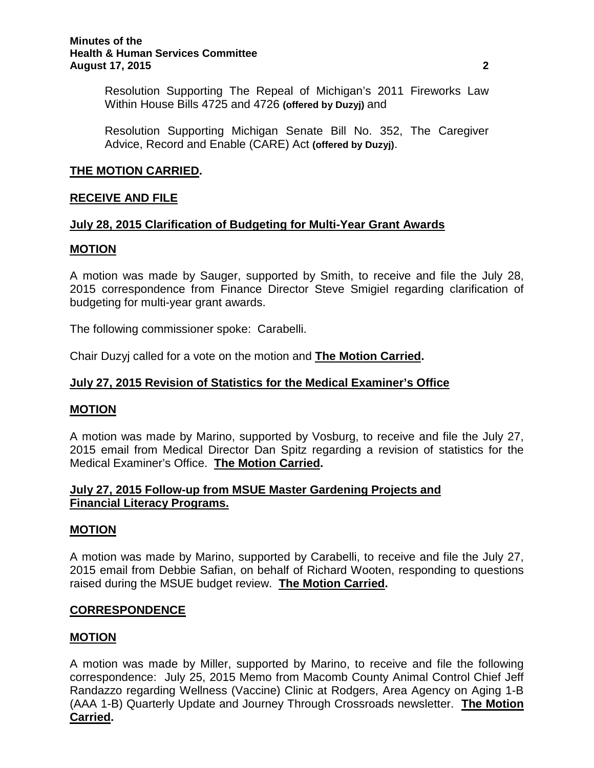Resolution Supporting The Repeal of Michigan's 2011 Fireworks Law Within House Bills 4725 and 4726 **(offered by Duzyj)** and

Resolution Supporting Michigan Senate Bill No. 352, The Caregiver Advice, Record and Enable (CARE) Act **(offered by Duzyj)**.

### **THE MOTION CARRIED.**

### **RECEIVE AND FILE**

### **July 28, 2015 Clarification of Budgeting for Multi-Year Grant Awards**

### **MOTION**

A motion was made by Sauger, supported by Smith, to receive and file the July 28, 2015 correspondence from Finance Director Steve Smigiel regarding clarification of budgeting for multi-year grant awards.

The following commissioner spoke: Carabelli.

Chair Duzyj called for a vote on the motion and **The Motion Carried.**

### **July 27, 2015 Revision of Statistics for the Medical Examiner's Office**

### **MOTION**

A motion was made by Marino, supported by Vosburg, to receive and file the July 27, 2015 email from Medical Director Dan Spitz regarding a revision of statistics for the Medical Examiner's Office. **The Motion Carried.**

### **July 27, 2015 Follow-up from MSUE Master Gardening Projects and Financial Literacy Programs.**

### **MOTION**

A motion was made by Marino, supported by Carabelli, to receive and file the July 27, 2015 email from Debbie Safian, on behalf of Richard Wooten, responding to questions raised during the MSUE budget review. **The Motion Carried.**

### **CORRESPONDENCE**

### **MOTION**

A motion was made by Miller, supported by Marino, to receive and file the following correspondence: July 25, 2015 Memo from Macomb County Animal Control Chief Jeff Randazzo regarding Wellness (Vaccine) Clinic at Rodgers, Area Agency on Aging 1-B (AAA 1-B) Quarterly Update and Journey Through Crossroads newsletter. **The Motion Carried.**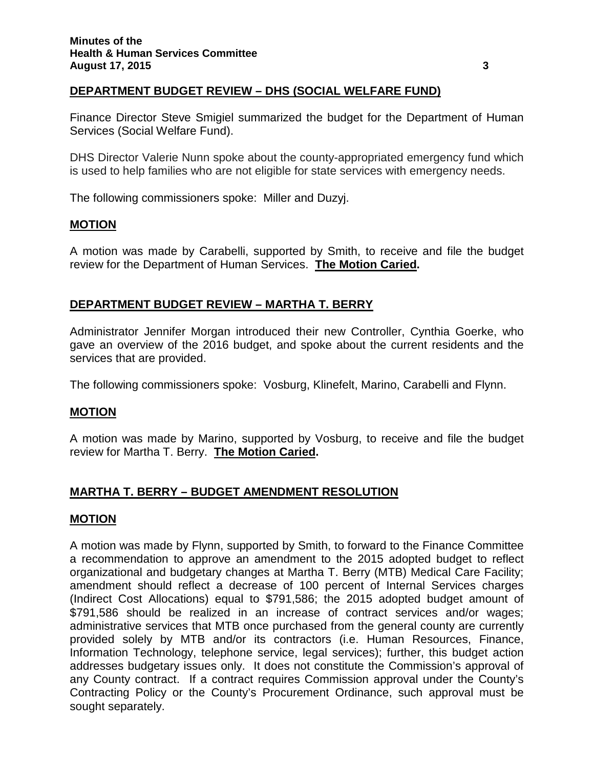# **DEPARTMENT BUDGET REVIEW – DHS (SOCIAL WELFARE FUND)**

Finance Director Steve Smigiel summarized the budget for the Department of Human Services (Social Welfare Fund).

DHS Director Valerie Nunn spoke about the county-appropriated emergency fund which is used to help families who are not eligible for state services with emergency needs.

The following commissioners spoke: Miller and Duzyj.

### **MOTION**

A motion was made by Carabelli, supported by Smith, to receive and file the budget review for the Department of Human Services. **The Motion Caried.**

# **DEPARTMENT BUDGET REVIEW – MARTHA T. BERRY**

Administrator Jennifer Morgan introduced their new Controller, Cynthia Goerke, who gave an overview of the 2016 budget, and spoke about the current residents and the services that are provided.

The following commissioners spoke: Vosburg, Klinefelt, Marino, Carabelli and Flynn.

### **MOTION**

A motion was made by Marino, supported by Vosburg, to receive and file the budget review for Martha T. Berry. **The Motion Caried.**

# **MARTHA T. BERRY – BUDGET AMENDMENT RESOLUTION**

### **MOTION**

A motion was made by Flynn, supported by Smith, to forward to the Finance Committee a recommendation to approve an amendment to the 2015 adopted budget to reflect organizational and budgetary changes at Martha T. Berry (MTB) Medical Care Facility; amendment should reflect a decrease of 100 percent of Internal Services charges (Indirect Cost Allocations) equal to \$791,586; the 2015 adopted budget amount of \$791,586 should be realized in an increase of contract services and/or wages; administrative services that MTB once purchased from the general county are currently provided solely by MTB and/or its contractors (i.e. Human Resources, Finance, Information Technology, telephone service, legal services); further, this budget action addresses budgetary issues only. It does not constitute the Commission's approval of any County contract. If a contract requires Commission approval under the County's Contracting Policy or the County's Procurement Ordinance, such approval must be sought separately.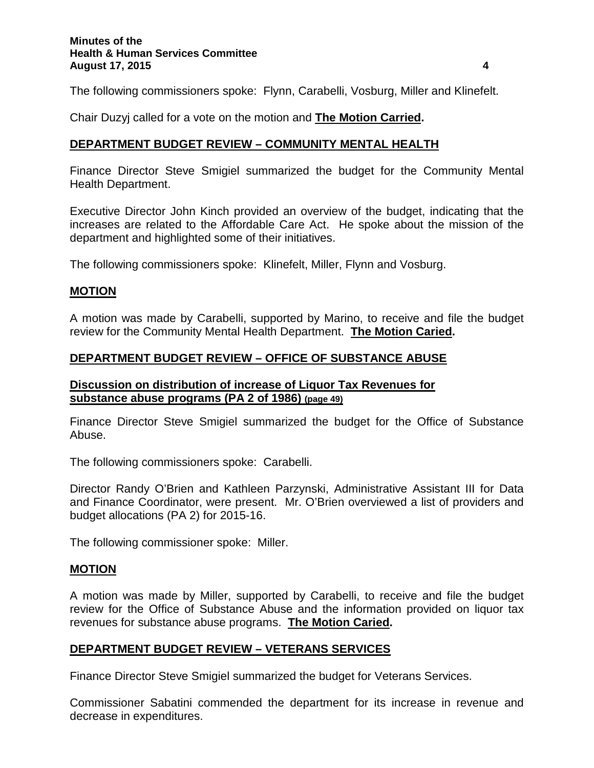The following commissioners spoke: Flynn, Carabelli, Vosburg, Miller and Klinefelt.

Chair Duzyj called for a vote on the motion and **The Motion Carried.**

#### **DEPARTMENT BUDGET REVIEW – COMMUNITY MENTAL HEALTH**

Finance Director Steve Smigiel summarized the budget for the Community Mental Health Department.

Executive Director John Kinch provided an overview of the budget, indicating that the increases are related to the Affordable Care Act. He spoke about the mission of the department and highlighted some of their initiatives.

The following commissioners spoke: Klinefelt, Miller, Flynn and Vosburg.

#### **MOTION**

A motion was made by Carabelli, supported by Marino, to receive and file the budget review for the Community Mental Health Department. **The Motion Caried.**

### **DEPARTMENT BUDGET REVIEW – OFFICE OF SUBSTANCE ABUSE**

### **Discussion on distribution of increase of Liquor Tax Revenues for substance abuse programs (PA 2 of 1986) (page 49)**

Finance Director Steve Smigiel summarized the budget for the Office of Substance Abuse.

The following commissioners spoke: Carabelli.

Director Randy O'Brien and Kathleen Parzynski, Administrative Assistant III for Data and Finance Coordinator, were present. Mr. O'Brien overviewed a list of providers and budget allocations (PA 2) for 2015-16.

The following commissioner spoke: Miller.

#### **MOTION**

A motion was made by Miller, supported by Carabelli, to receive and file the budget review for the Office of Substance Abuse and the information provided on liquor tax revenues for substance abuse programs. **The Motion Caried.**

### **DEPARTMENT BUDGET REVIEW – VETERANS SERVICES**

Finance Director Steve Smigiel summarized the budget for Veterans Services.

Commissioner Sabatini commended the department for its increase in revenue and decrease in expenditures.